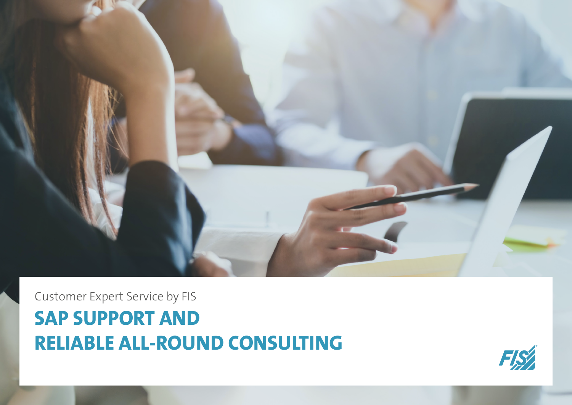

# Customer Expert Service by FIS **SAP SUPPORT AND RELIABLE ALL-ROUND CONSULTING**

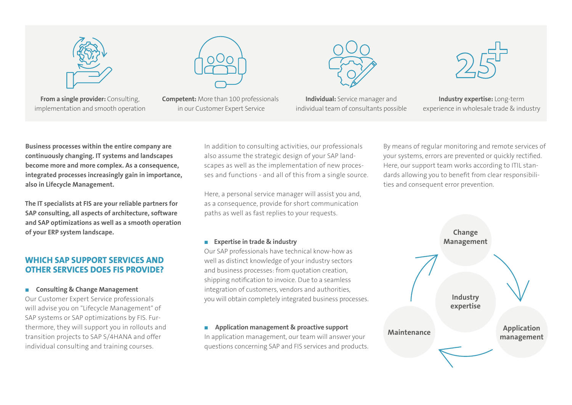

**From a single provider:** Consulting, implementation and smooth operation



**Competent:** More than 100 professionals in our Customer Expert Service





**Industry expertise:** Long-term experience in wholesale trade & industry

**Business processes within the entire company are continuously changing. IT systems and landscapes become more and more complex. As a consequence, integrated processes increasingly gain in importance, also in Lifecycle Management.**

**The IT specialists at FIS are your reliable partners for SAP consulting, all aspects of architecture, software and SAP optimizations as well as a smooth operation of your ERP system landscape.**

# **WHICH SAP SUPPORT SERVICES AND OTHER SERVICES DOES FIS PROVIDE?**

■ **Consulting & Change Management**

Our Customer Expert Service professionals will advise you on "Lifecycle Management" of SAP systems or SAP optimizations by FIS. Furthermore, they will support you in rollouts and transition projects to SAP S/4HANA and offer individual consulting and training courses.

In addition to consulting activities, our professionals also assume the strategic design of your SAP landscapes as well as the implementation of new processes and functions - and all of this from a single source.

Here, a personal service manager will assist you and, as a consequence, provide for short communication paths as well as fast replies to your requests.

### ■ **Expertise in trade & industry**

Our SAP professionals have technical know-how as well as distinct knowledge of your industry sectors and business processes: from quotation creation, shipping notification to invoice. Due to a seamless integration of customers, vendors and authorities, you will obtain completely integrated business processes.

# ■ **Application management & proactive support**

In application management, our team will answer your questions concerning SAP and FIS services and products. By means of regular monitoring and remote services of your systems, errors are prevented or quickly rectified. Here, our support team works according to ITIL standards allowing you to benefit from clear responsibilities and consequent error prevention.